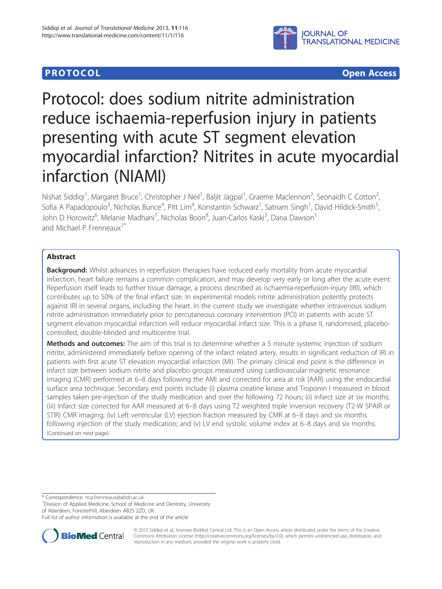# **PROTOCOL CONSUMING ACCESS CONSUMING ACCESS**



# Protocol: does sodium nitrite administration reduce ischaemia-reperfusion injury in patients presenting with acute ST segment elevation myocardial infarction? Nitrites in acute myocardial infarction (NIAMI)

Nishat Siddiqi<sup>1</sup>, Margaret Bruce<sup>1</sup>, Christopher J Neil<sup>1</sup>, Baljit Jagpal<sup>1</sup>, Graeme Maclennon<sup>2</sup>, Seonaidh C Cotton<sup>2</sup> .<br>, Sofia A Papadopoulo<sup>3</sup>, Nicholas Bunce<sup>4</sup>, Pitt Lim<sup>4</sup>, Konstantin Schwarz<sup>1</sup>, Satnam Singh<sup>1</sup>, David Hildick-Smith<sup>5</sup> , John D Horowitz<sup>6</sup>, Melanie Madhani<sup>7</sup>, Nicholas Boon<sup>8</sup>, Juan-Carlos Kaski<sup>3</sup>, Dana Dawson<sup>1</sup> and Michael P Frenneaux<sup>1\*</sup>

# Abstract

Background: Whilst advances in reperfusion therapies have reduced early mortality from acute myocardial infarction, heart failure remains a common complication, and may develop very early or long after the acute event. Reperfusion itself leads to further tissue damage, a process described as ischaemia-reperfusion-injury (IRI), which contributes up to 50% of the final infarct size. In experimental models nitrite administration potently protects against IRI in several organs, including the heart. In the current study we investigate whether intravenous sodium nitrite administration immediately prior to percutaneous coronary intervention (PCI) in patients with acute ST segment elevation myocardial infarction will reduce myocardial infarct size. This is a phase II, randomised, placebocontrolled, double-blinded and multicentre trial.

Methods and outcomes: The aim of this trial is to determine whether a 5 minute systemic injection of sodium nitrite, administered immediately before opening of the infarct related artery, results in significant reduction of IRI in patients with first acute ST elevation myocardial infarction (MI). The primary clinical end point is the difference in infarct size between sodium nitrite and placebo groups measured using cardiovascular magnetic resonance imaging (CMR) performed at 6–8 days following the AMI and corrected for area at risk (AAR) using the endocardial surface area technique. Secondary end points include (i) plasma creatine kinase and Troponin I measured in blood samples taken pre-injection of the study medication and over the following 72 hours; (ii) infarct size at six months; (iii) Infarct size corrected for AAR measured at 6–8 days using T2 weighted triple inversion recovery (T2-W SPAIR or STIR) CMR imaging; (iv) Left ventricular (LV) ejection fraction measured by CMR at 6–8 days and six months following injection of the study medication; and (v) LV end systolic volume index at 6–8 days and six months. (Continued on next page)

\* Correspondence: [m.p.frenneaux@abdn.ac.uk](mailto:m.p.frenneaux@abdn.ac.uk) <sup>1</sup>

<sup>1</sup> Division of Applied Medicine, School of Medicine and Dentistry, University of Aberdeen, Foresterhill, Aberdeen AB25 2ZD, UK

Full list of author information is available at the end of the article



© 2013 Siddiqi et al.; licensee BioMed Central Ltd. This is an Open Access article distributed under the terms of the Creative Commons Attribution License [\(http://creativecommons.org/licenses/by/2.0\)](http://creativecommons.org/licenses/by/2.0), which permits unrestricted use, distribution, and reproduction in any medium, provided the original work is properly cited.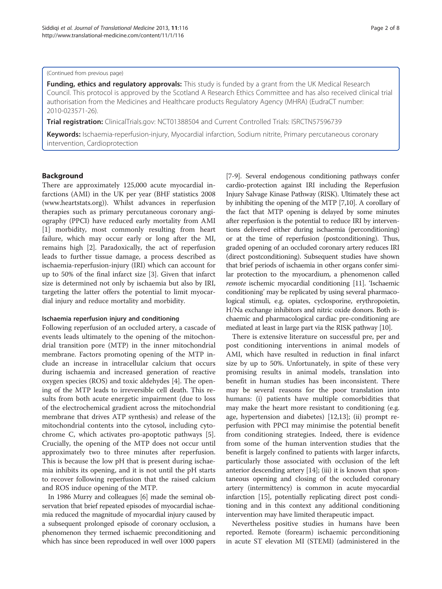#### (Continued from previous page)

Funding, ethics and regulatory approvals: This study is funded by a grant from the UK Medical Research Council. This protocol is approved by the Scotland A Research Ethics Committee and has also received clinical trial authorisation from the Medicines and Healthcare products Regulatory Agency (MHRA) (EudraCT number: 2010-023571-26).

Trial registration: ClinicalTrials.gov: [NCT01388504](http://clinicaltrials.gov/ct2/show/NCT01388504) and Current Controlled Trials: [ISRCTN57596739](http://www.controlled-trials.com/ISRCTN57596739/ISRCTN57596739)

Keywords: Ischaemia-reperfusion-injury, Myocardial infarction, Sodium nitrite, Primary percutaneous coronary intervention, Cardioprotection

#### Background

There are approximately 125,000 acute myocardial infarctions (AMI) in the UK per year (BHF statistics 2008 ([www.heartstats.org\)](http://www.heartstats.org/)). Whilst advances in reperfusion therapies such as primary percutaneous coronary angiography (PPCI) have reduced early mortality from AMI [[1\]](#page-7-0) morbidity, most commonly resulting from heart failure, which may occur early or long after the MI, remains high [\[2](#page-7-0)]. Paradoxically, the act of reperfusion leads to further tissue damage, a process described as ischaemia-reperfusion-injury (IRI) which can account for up to 50% of the final infarct size [\[3](#page-7-0)]. Given that infarct size is determined not only by ischaemia but also by IRI, targeting the latter offers the potential to limit myocardial injury and reduce mortality and morbidity.

#### Ischaemia reperfusion injury and conditioning

Following reperfusion of an occluded artery, a cascade of events leads ultimately to the opening of the mitochondrial transition pore (MTP) in the inner mitochondrial membrane. Factors promoting opening of the MTP include an increase in intracellular calcium that occurs during ischaemia and increased generation of reactive oxygen species (ROS) and toxic aldehydes [[4\]](#page-7-0). The opening of the MTP leads to irreversible cell death. This results from both acute energetic impairment (due to loss of the electrochemical gradient across the mitochondrial membrane that drives ATP synthesis) and release of the mitochondrial contents into the cytosol, including cytochrome C, which activates pro-apoptotic pathways [\[5](#page-7-0)]. Crucially, the opening of the MTP does not occur until approximately two to three minutes after reperfusion. This is because the low pH that is present during ischaemia inhibits its opening, and it is not until the pH starts to recover following reperfusion that the raised calcium and ROS induce opening of the MTP.

In 1986 Murry and colleagues [[6\]](#page-7-0) made the seminal observation that brief repeated episodes of myocardial ischaemia reduced the magnitude of myocardial injury caused by a subsequent prolonged episode of coronary occlusion, a phenomenon they termed ischaemic preconditioning and which has since been reproduced in well over 1000 papers

[[7-9\]](#page-7-0). Several endogenous conditioning pathways confer cardio-protection against IRI including the Reperfusion Injury Salvage Kinase Pathway (RISK). Ultimately these act by inhibiting the opening of the MTP [[7,10\]](#page-7-0). A corollary of the fact that MTP opening is delayed by some minutes after reperfusion is the potential to reduce IRI by interventions delivered either during ischaemia (perconditioning) or at the time of reperfusion (postconditioning). Thus, graded opening of an occluded coronary artery reduces IRI (direct postconditioning). Subsequent studies have shown that brief periods of ischaemia in other organs confer similar protection to the myocardium, a phenomenon called remote ischemic myocardial conditioning [[11](#page-7-0)]. 'Ischaemic conditioning' may be replicated by using several pharmacological stimuli, e.g. opiates, cyclosporine, erythropoietin, H/Na exchange inhibitors and nitric oxide donors. Both ischaemic and pharmacological cardiac pre-conditioning are mediated at least in large part via the RISK pathway [\[10\]](#page-7-0).

There is extensive literature on successful pre, per and post conditioning interventions in animal models of AMI, which have resulted in reduction in final infarct size by up to 50%. Unfortunately, in spite of these very promising results in animal models, translation into benefit in human studies has been inconsistent. There may be several reasons for the poor translation into humans: (i) patients have multiple comorbidities that may make the heart more resistant to conditioning (e.g. age, hypertension and diabetes) [[12,13\]](#page-7-0); (ii) prompt reperfusion with PPCI may minimise the potential benefit from conditioning strategies. Indeed, there is evidence from some of the human intervention studies that the benefit is largely confined to patients with larger infarcts, particularly those associated with occlusion of the left anterior descending artery [[14](#page-7-0)]; (iii) it is known that spontaneous opening and closing of the occluded coronary artery (intermittency) is common in acute myocardial infarction [\[15\]](#page-7-0), potentially replicating direct post conditioning and in this context any additional conditioning intervention may have limited therapeutic impact.

Nevertheless positive studies in humans have been reported. Remote (forearm) ischaemic perconditioning in acute ST elevation MI (STEMI) (administered in the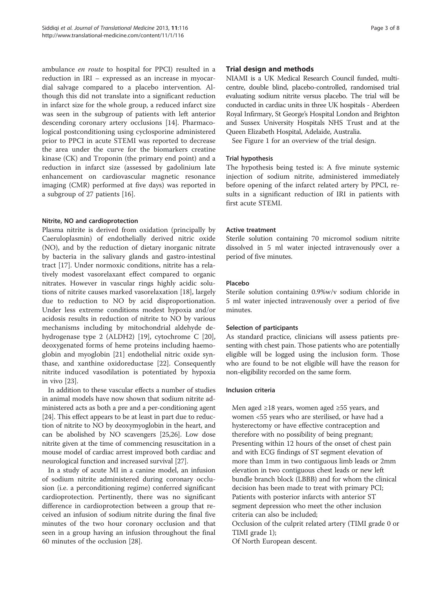ambulance en route to hospital for PPCI) resulted in a reduction in IRI – expressed as an increase in myocardial salvage compared to a placebo intervention. Although this did not translate into a significant reduction in infarct size for the whole group, a reduced infarct size was seen in the subgroup of patients with left anterior descending coronary artery occlusions [\[14](#page-7-0)]. Pharmacological postconditioning using cyclosporine administered prior to PPCI in acute STEMI was reported to decrease the area under the curve for the biomarkers creatine kinase (CK) and Troponin (the primary end point) and a reduction in infarct size (assessed by gadolinium late enhancement on cardiovascular magnetic resonance imaging (CMR) performed at five days) was reported in a subgroup of 27 patients [\[16](#page-7-0)].

# Nitrite, NO and cardioprotection

Plasma nitrite is derived from oxidation (principally by Caeruloplasmin) of endothelially derived nitric oxide (NO), and by the reduction of dietary inorganic nitrate by bacteria in the salivary glands and gastro-intestinal tract [[17\]](#page-7-0). Under normoxic conditions, nitrite has a relatively modest vasorelaxant effect compared to organic nitrates. However in vascular rings highly acidic solutions of nitrite causes marked vasorelaxation [[18\]](#page-7-0), largely due to reduction to NO by acid disproportionation. Under less extreme conditions modest hypoxia and/or acidosis results in reduction of nitrite to NO by various mechanisms including by mitochondrial aldehyde dehydrogenase type 2 (ALDH2) [\[19\]](#page-7-0), cytochrome C [\[20](#page-7-0)], deoxygenated forms of heme proteins including haemoglobin and myoglobin [\[21](#page-7-0)] endothelial nitric oxide synthase, and xanthine oxidoreductase [[22\]](#page-7-0). Consequently nitrite induced vasodilation is potentiated by hypoxia in vivo [\[23](#page-7-0)].

In addition to these vascular effects a number of studies in animal models have now shown that sodium nitrite administered acts as both a pre and a per-conditioning agent [[24](#page-7-0)]. This effect appears to be at least in part due to reduction of nitrite to NO by deoxymyoglobin in the heart, and can be abolished by NO scavengers [\[25,26\]](#page-7-0). Low dose nitrite given at the time of commencing resuscitation in a mouse model of cardiac arrest improved both cardiac and neurological function and increased survival [[27](#page-7-0)].

In a study of acute MI in a canine model, an infusion of sodium nitrite administered during coronary occlusion (i.e. a perconditioning regime) conferred significant cardioprotection. Pertinently, there was no significant difference in cardioprotection between a group that received an infusion of sodium nitrite during the final five minutes of the two hour coronary occlusion and that seen in a group having an infusion throughout the final 60 minutes of the occlusion [[28\]](#page-7-0).

#### Trial design and methods

NIAMI is a UK Medical Research Council funded, multicentre, double blind, placebo-controlled, randomised trial evaluating sodium nitrite versus placebo. The trial will be conducted in cardiac units in three UK hospitals - Aberdeen Royal Infirmary, St George's Hospital London and Brighton and Sussex University Hospitals NHS Trust and at the Queen Elizabeth Hospital, Adelaide, Australia.

See Figure [1](#page-3-0) for an overview of the trial design.

### Trial hypothesis

The hypothesis being tested is: A five minute systemic injection of sodium nitrite, administered immediately before opening of the infarct related artery by PPCI, results in a significant reduction of IRI in patients with first acute STEMI.

#### Active treatment

Sterile solution containing 70 micromol sodium nitrite dissolved in 5 ml water injected intravenously over a period of five minutes.

## Placebo

Sterile solution containing 0.9%w/v sodium chloride in 5 ml water injected intravenously over a period of five minutes.

#### Selection of participants

As standard practice, clinicians will assess patients presenting with chest pain. Those patients who are potentially eligible will be logged using the inclusion form. Those who are found to be not eligible will have the reason for non-eligibility recorded on the same form.

#### Inclusion criteria

Men aged ≥18 years, women aged ≥55 years, and women <55 years who are sterilised, or have had a hysterectomy or have effective contraception and therefore with no possibility of being pregnant; Presenting within 12 hours of the onset of chest pain and with ECG findings of ST segment elevation of more than 1mm in two contiguous limb leads or 2mm elevation in two contiguous chest leads or new left bundle branch block (LBBB) and for whom the clinical decision has been made to treat with primary PCI; Patients with posterior infarcts with anterior ST segment depression who meet the other inclusion criteria can also be included; Occlusion of the culprit related artery (TIMI grade 0 or TIMI grade 1);

Of North European descent.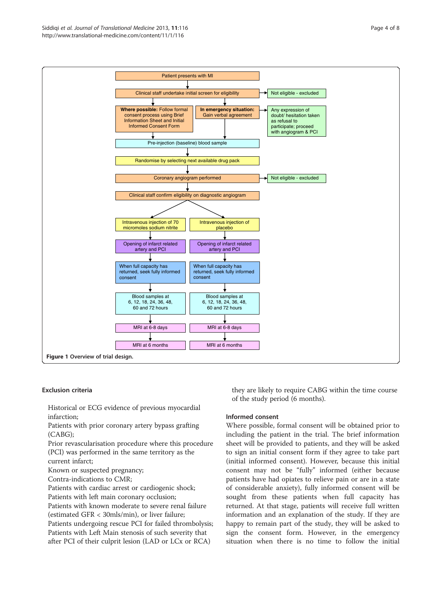<span id="page-3-0"></span>

#### Exclusion criteria

Historical or ECG evidence of previous myocardial infarction;

Patients with prior coronary artery bypass grafting (CABG);

Prior revascularisation procedure where this procedure (PCI) was performed in the same territory as the current infarct;

Known or suspected pregnancy;

Contra-indications to CMR;

Patients with cardiac arrest or cardiogenic shock;

Patients with left main coronary occlusion;

Patients with known moderate to severe renal failure

(estimated GFR < 30mls/min), or liver failure;

Patients undergoing rescue PCI for failed thrombolysis; Patients with Left Main stenosis of such severity that after PCI of their culprit lesion (LAD or LCx or RCA)

they are likely to require CABG within the time course of the study period (6 months).

# Informed consent

Where possible, formal consent will be obtained prior to including the patient in the trial. The brief information sheet will be provided to patients, and they will be asked to sign an initial consent form if they agree to take part (initial informed consent). However, because this initial consent may not be "fully" informed (either because patients have had opiates to relieve pain or are in a state of considerable anxiety), fully informed consent will be sought from these patients when full capacity has returned. At that stage, patients will receive full written information and an explanation of the study. If they are happy to remain part of the study, they will be asked to sign the consent form. However, in the emergency situation when there is no time to follow the initial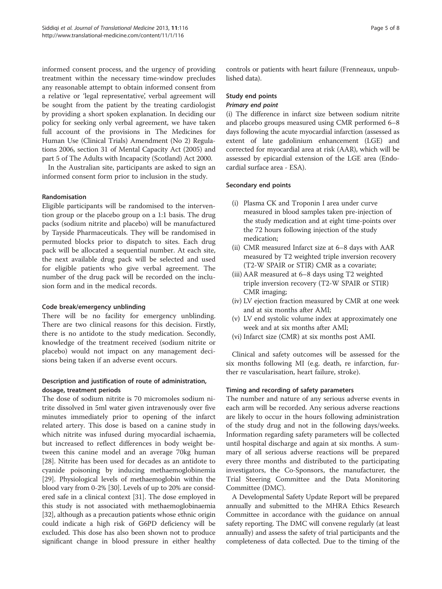informed consent process, and the urgency of providing treatment within the necessary time-window precludes any reasonable attempt to obtain informed consent from a relative or 'legal representative', verbal agreement will be sought from the patient by the treating cardiologist by providing a short spoken explanation. In deciding our policy for seeking only verbal agreement, we have taken full account of the provisions in The Medicines for Human Use (Clinical Trials) Amendment (No 2) Regulations 2006, section 31 of Mental Capacity Act (2005) and part 5 of The Adults with Incapacity (Scotland) Act 2000.

In the Australian site, participants are asked to sign an informed consent form prior to inclusion in the study.

### Randomisation

Eligible participants will be randomised to the intervention group or the placebo group on a 1:1 basis. The drug packs (sodium nitrite and placebo) will be manufactured by Tayside Pharmaceuticals. They will be randomised in permuted blocks prior to dispatch to sites. Each drug pack will be allocated a sequential number. At each site, the next available drug pack will be selected and used for eligible patients who give verbal agreement. The number of the drug pack will be recorded on the inclusion form and in the medical records.

#### Code break/emergency unblinding

There will be no facility for emergency unblinding. There are two clinical reasons for this decision. Firstly, there is no antidote to the study medication. Secondly, knowledge of the treatment received (sodium nitrite or placebo) would not impact on any management decisions being taken if an adverse event occurs.

# Description and justification of route of administration, dosage, treatment periods

The dose of sodium nitrite is 70 micromoles sodium nitrite dissolved in 5ml water given intravenously over five minutes immediately prior to opening of the infarct related artery. This dose is based on a canine study in which nitrite was infused during myocardial ischaemia, but increased to reflect differences in body weight between this canine model and an average 70kg human [[28\]](#page-7-0). Nitrite has been used for decades as an antidote to cyanide poisoning by inducing methaemoglobinemia [[29\]](#page-7-0). Physiological levels of methaemoglobin within the blood vary from 0-2% [[30](#page-7-0)]. Levels of up to 20% are considered safe in a clinical context [\[31\]](#page-7-0). The dose employed in this study is not associated with methaemoglobinaemia [[32](#page-7-0)], although as a precaution patients whose ethnic origin could indicate a high risk of G6PD deficiency will be excluded. This dose has also been shown not to produce significant change in blood pressure in either healthy

controls or patients with heart failure (Frenneaux, unpublished data).

# Study end points

#### Primary end point

(i) The difference in infarct size between sodium nitrite and placebo groups measured using CMR performed 6–8 days following the acute myocardial infarction (assessed as extent of late gadolinium enhancement (LGE) and corrected for myocardial area at risk (AAR), which will be assessed by epicardial extension of the LGE area (Endocardial surface area - ESA).

### Secondary end points

- (i) Plasma CK and Troponin I area under curve measured in blood samples taken pre-injection of the study medication and at eight time-points over the 72 hours following injection of the study medication;
- (ii) CMR measured Infarct size at 6–8 days with AAR measured by T2 weighted triple inversion recovery (T2-W SPAIR or STIR) CMR as a covariate;
- (iii) AAR measured at 6–8 days using T2 weighted triple inversion recovery (T2-W SPAIR or STIR) CMR imaging;
- (iv) LV ejection fraction measured by CMR at one week and at six months after AMI;
- (v) LV end systolic volume index at approximately one week and at six months after AMI;
- (vi) Infarct size (CMR) at six months post AMI.

Clinical and safety outcomes will be assessed for the six months following MI (e.g. death, re infarction, further re vascularisation, heart failure, stroke).

#### Timing and recording of safety parameters

The number and nature of any serious adverse events in each arm will be recorded. Any serious adverse reactions are likely to occur in the hours following administration of the study drug and not in the following days/weeks. Information regarding safety parameters will be collected until hospital discharge and again at six months. A summary of all serious adverse reactions will be prepared every three months and distributed to the participating investigators, the Co-Sponsors, the manufacturer, the Trial Steering Committee and the Data Monitoring Committee (DMC).

A Developmental Safety Update Report will be prepared annually and submitted to the MHRA Ethics Research Committee in accordance with the guidance on annual safety reporting. The DMC will convene regularly (at least annually) and assess the safety of trial participants and the completeness of data collected. Due to the timing of the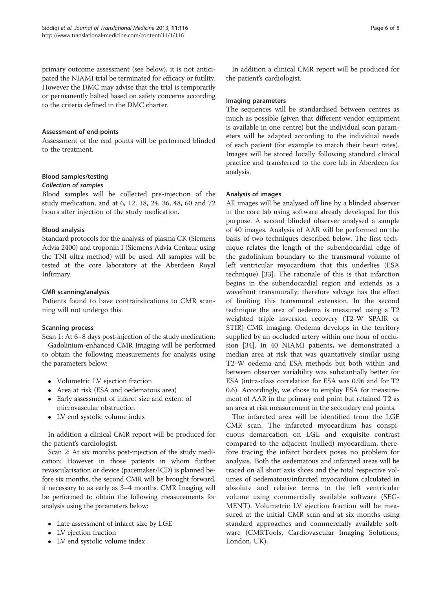primary outcome assessment (see below), it is not anticipated the NIAMI trial be terminated for efficacy or futility. However the DMC may advise that the trial is temporarily or permanently halted based on safety concerns according to the criteria defined in the DMC charter.

# Assessment of end-points

Assessment of the end points will be performed blinded to the treatment.

# Blood samples/testing

# Collection of samples

Blood samples will be collected pre-injection of the study medication, and at 6, 12, 18, 24, 36, 48, 60 and 72 hours after injection of the study medication.

# Blood analysis

Standard protocols for the analysis of plasma CK (Siemens Advia 2400) and troponin I (Siemens Advia Centaur using the TNI ultra method) will be used. All samples will be tested at the core laboratory at the Aberdeen Royal Infirmary.

# CMR scanning/analysis

Patients found to have contraindications to CMR scanning will not undergo this.

# Scanning process

the parameters below:

Scan 1: At 6–8 days post-injection of the study medication: Gadolinium-enhanced CMR Imaging will be performed to obtain the following measurements for analysis using

- Volumetric LV ejection fraction
- Area at risk (ESA and oedematous area)
- Early assessment of infarct size and extent of microvascular obstruction
- LV end systolic volume index

In addition a clinical CMR report will be produced for the patient's cardiologist.

Scan 2: At six months post-injection of the study medication: However in those patients in whom further revascularisation or device (pacemaker/ICD) is planned before six months, the second CMR will be brought forward, if necessary to as early as 3–4 months. CMR Imaging will be performed to obtain the following measurements for analysis using the parameters below:

- Late assessment of infarct size by LGE
- LV ejection fraction
- LV end systolic volume index

In addition a clinical CMR report will be produced for the patient's cardiologist.

# Imaging parameters

The sequences will be standardised between centres as much as possible (given that different vendor equipment is available in one centre) but the individual scan parameters will be adapted according to the individual needs of each patient (for example to match their heart rates). Images will be stored locally following standard clinical practice and transferred to the core lab in Aberdeen for analysis.

# Analysis of images

All images will be analysed off line by a blinded observer in the core lab using software already developed for this purpose. A second blinded observer analysed a sample of 40 images. Analysis of AAR will be performed on the basis of two techniques described below. The first technique relates the length of the subendocardial edge of the gadolinium boundary to the transmural volume of left ventricular myocardium that this underlies (ESA technique) [[33\]](#page-7-0). The rationale of this is that infarction begins in the subendocardial region and extends as a wavefront transmurally; therefore salvage has the effect of limiting this transmural extension. In the second technique the area of oedema is measured using a T2 weighted triple inversion recovery (T2-W SPAIR or STIR) CMR imaging. Oedema develops in the territory supplied by an occluded artery within one hour of occlusion [\[34](#page-7-0)]. In 40 NIAMI patients, we demonstrated a median area at risk that was quantatively similar using T2-W oedema and ESA methods but both within and between observer variability was substantially better for ESA (intra-class correlation for ESA was 0.96 and for T2 0.6). Accordingly, we chose to employ ESA for measurement of AAR in the primary end point but retained T2 as an area at risk measurement in the secondary end points.

The infarcted area will be identified from the LGE CMR scan. The infarcted myocardium has conspicuous demarcation on LGE and exquisite contrast compared to the adjacent (nulled) myocardium, therefore tracing the infarct borders poses no problem for analysis. Both the oedematous and infarcted areas will be traced on all short axis slices and the total respective volumes of oedematous/infarcted myocardium calculated in absolute and relative terms to the left ventricular volume using commercially available software (SEG-MENT). Volumetric LV ejection fraction will be measured at the initial CMR scan and at six months using standard approaches and commercially available software (CMRTools, Cardiovascular Imaging Solutions, London, UK).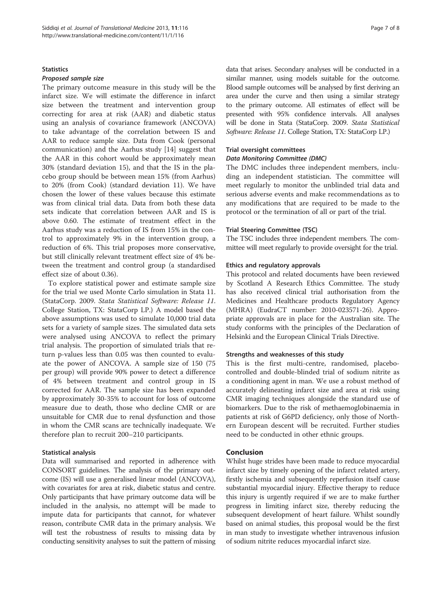#### **Statistics**

#### Proposed sample size

The primary outcome measure in this study will be the infarct size. We will estimate the difference in infarct size between the treatment and intervention group correcting for area at risk (AAR) and diabetic status using an analysis of covariance framework (ANCOVA) to take advantage of the correlation between IS and AAR to reduce sample size. Data from Cook (personal communication) and the Aarhus study [\[14](#page-7-0)] suggest that the AAR in this cohort would be approximately mean 30% (standard deviation 15), and that the IS in the placebo group should be between mean 15% (from Aarhus) to 20% (from Cook) (standard deviation 11). We have chosen the lower of these values because this estimate was from clinical trial data. Data from both these data sets indicate that correlation between AAR and IS is above 0.60. The estimate of treatment effect in the Aarhus study was a reduction of IS from 15% in the control to approximately 9% in the intervention group, a reduction of 6%. This trial proposes more conservative, but still clinically relevant treatment effect size of 4% between the treatment and control group (a standardised effect size of about 0.36).

To explore statistical power and estimate sample size for the trial we used Monte Carlo simulation in Stata 11. (StataCorp. 2009. Stata Statistical Software: Release 11. College Station, TX: StataCorp LP.) A model based the above assumptions was used to simulate 10,000 trial data sets for a variety of sample sizes. The simulated data sets were analysed using ANCOVA to reflect the primary trial analysis. The proportion of simulated trials that return p-values less than 0.05 was then counted to evaluate the power of ANCOVA. A sample size of 150 (75 per group) will provide 90% power to detect a difference of 4% between treatment and control group in IS corrected for AAR. The sample size has been expanded by approximately 30-35% to account for loss of outcome measure due to death, those who decline CMR or are unsuitable for CMR due to renal dysfunction and those in whom the CMR scans are technically inadequate. We therefore plan to recruit 200–210 participants.

#### Statistical analysis

Data will summarised and reported in adherence with CONSORT guidelines. The analysis of the primary outcome (IS) will use a generalised linear model (ANCOVA), with covariates for area at risk, diabetic status and centre. Only participants that have primary outcome data will be included in the analysis, no attempt will be made to impute data for participants that cannot, for whatever reason, contribute CMR data in the primary analysis. We will test the robustness of results to missing data by conducting sensitivity analyses to suit the pattern of missing data that arises. Secondary analyses will be conducted in a similar manner, using models suitable for the outcome. Blood sample outcomes will be analysed by first deriving an area under the curve and then using a similar strategy to the primary outcome. All estimates of effect will be presented with 95% confidence intervals. All analyses will be done in Stata (StataCorp. 2009. Stata Statistical Software: Release 11. College Station, TX: StataCorp LP.)

# Trial oversight committees

## Data Monitoring Committee (DMC)

The DMC includes three independent members, including an independent statistician. The committee will meet regularly to monitor the unblinded trial data and serious adverse events and make recommendations as to any modifications that are required to be made to the protocol or the termination of all or part of the trial.

### Trial Steering Committee (TSC)

The TSC includes three independent members. The committee will meet regularly to provide oversight for the trial.

#### Ethics and regulatory approvals

This protocol and related documents have been reviewed by Scotland A Research Ethics Committee. The study has also received clinical trial authorisation from the Medicines and Healthcare products Regulatory Agency (MHRA) (EudraCT number: 2010-023571-26). Appropriate approvals are in place for the Australian site. The study conforms with the principles of the Declaration of Helsinki and the European Clinical Trials Directive.

#### Strengths and weaknesses of this study

This is the first multi-centre, randomised, placebocontrolled and double-blinded trial of sodium nitrite as a conditioning agent in man. We use a robust method of accurately delineating infarct size and area at risk using CMR imaging techniques alongside the standard use of biomarkers. Due to the risk of methaemoglobinaemia in patients at risk of G6PD deficiency, only those of Northern European descent will be recruited. Further studies need to be conducted in other ethnic groups.

#### Conclusion

Whilst huge strides have been made to reduce myocardial infarct size by timely opening of the infarct related artery, firstly ischemia and subsequently reperfusion itself cause substantial myocardial injury. Effective therapy to reduce this injury is urgently required if we are to make further progress in limiting infarct size, thereby reducing the subsequent development of heart failure. Whilst soundly based on animal studies, this proposal would be the first in man study to investigate whether intravenous infusion of sodium nitrite reduces myocardial infarct size.